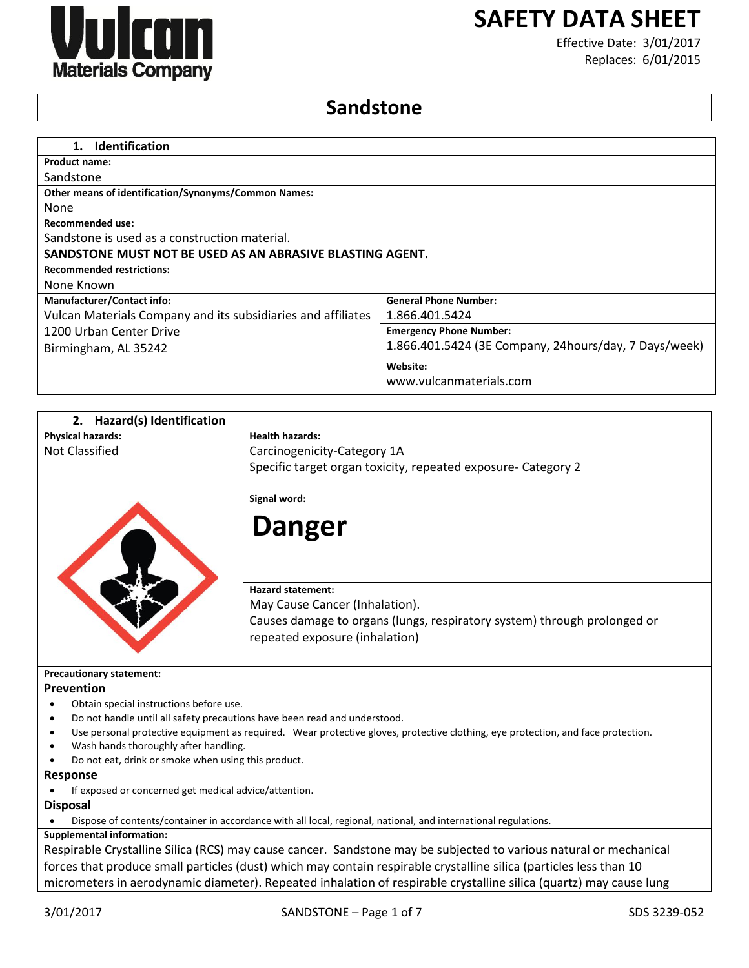

# **SAFETY DATA SHEET**

Effective Date: 3/01/2017 Replaces: 6/01/2015

## **Sandstone**

| <b>Identification</b><br>1.                                  |                                                       |
|--------------------------------------------------------------|-------------------------------------------------------|
| <b>Product name:</b>                                         |                                                       |
| Sandstone                                                    |                                                       |
| <b>Other means of identification/Synonyms/Common Names:</b>  |                                                       |
| None                                                         |                                                       |
| Recommended use:                                             |                                                       |
| Sandstone is used as a construction material.                |                                                       |
| SANDSTONE MUST NOT BE USED AS AN ABRASIVE BLASTING AGENT.    |                                                       |
| <b>Recommended restrictions:</b>                             |                                                       |
| None Known                                                   |                                                       |
| <b>Manufacturer/Contact info:</b>                            | <b>General Phone Number:</b>                          |
| Vulcan Materials Company and its subsidiaries and affiliates | 1.866.401.5424                                        |
| 1200 Urban Center Drive                                      | <b>Emergency Phone Number:</b>                        |
| Birmingham, AL 35242                                         | 1.866.401.5424 (3E Company, 24hours/day, 7 Days/week) |
|                                                              | Website:                                              |
|                                                              | www.vulcanmaterials.com                               |

| <b>Hazard(s) Identification</b><br>2.                 |                                                                                                                                  |
|-------------------------------------------------------|----------------------------------------------------------------------------------------------------------------------------------|
| <b>Physical hazards:</b>                              | <b>Health hazards:</b>                                                                                                           |
| Not Classified                                        | Carcinogenicity-Category 1A                                                                                                      |
|                                                       | Specific target organ toxicity, repeated exposure- Category 2                                                                    |
|                                                       | Signal word:                                                                                                                     |
|                                                       |                                                                                                                                  |
|                                                       | <b>Danger</b>                                                                                                                    |
|                                                       | <b>Hazard statement:</b>                                                                                                         |
|                                                       | May Cause Cancer (Inhalation).                                                                                                   |
|                                                       | Causes damage to organs (lungs, respiratory system) through prolonged or<br>repeated exposure (inhalation)                       |
| <b>Precautionary statement:</b>                       |                                                                                                                                  |
| Prevention                                            |                                                                                                                                  |
| Obtain special instructions before use.               |                                                                                                                                  |
|                                                       | Do not handle until all safety precautions have been read and understood.                                                        |
|                                                       | Use personal protective equipment as required. Wear protective gloves, protective clothing, eye protection, and face protection. |
| Wash hands thoroughly after handling.                 |                                                                                                                                  |
| Do not eat, drink or smoke when using this product.   |                                                                                                                                  |
| <b>Response</b>                                       |                                                                                                                                  |
| If exposed or concerned get medical advice/attention. |                                                                                                                                  |
| <b>Disposal</b>                                       |                                                                                                                                  |

Dispose of contents/container in accordance with all local, regional, national, and international regulations.

## **Supplemental information:**

Respirable Crystalline Silica (RCS) may cause cancer. Sandstone may be subjected to various natural or mechanical forces that produce small particles (dust) which may contain respirable crystalline silica (particles less than 10 micrometers in aerodynamic diameter). Repeated inhalation of respirable crystalline silica (quartz) may cause lung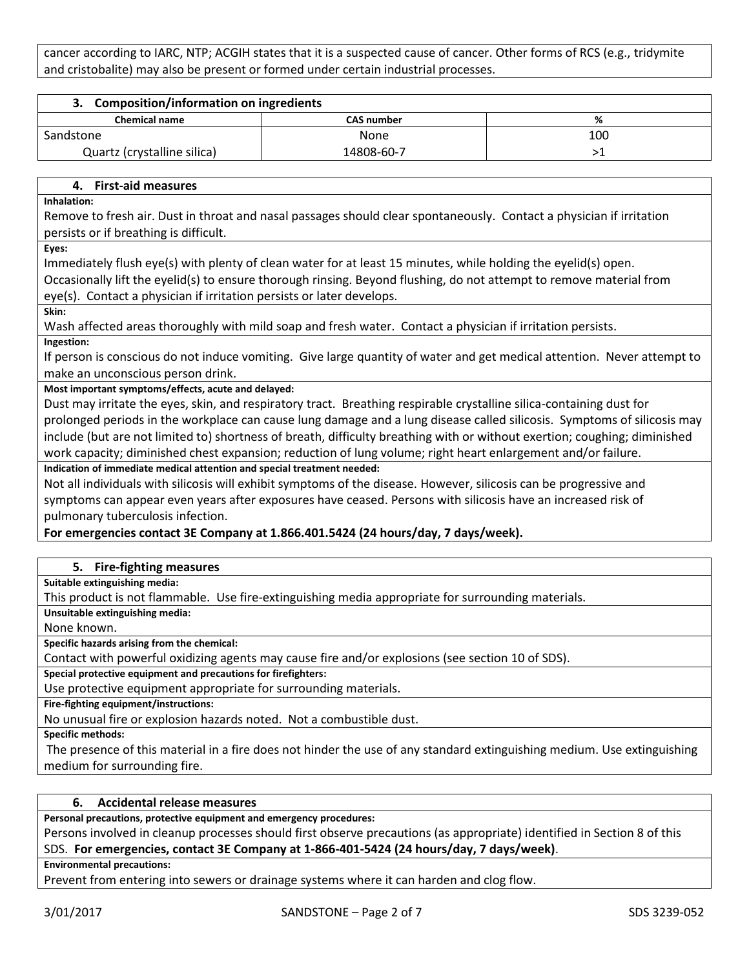cancer according to IARC, NTP; ACGIH states that it is a suspected cause of cancer. Other forms of RCS (e.g., tridymite and cristobalite) may also be present or formed under certain industrial processes.

| 3. Composition/information on ingredients |                   |     |
|-------------------------------------------|-------------------|-----|
| <b>Chemical name</b>                      | <b>CAS number</b> | %   |
| Sandstone                                 | None              | 100 |
| Quartz (crystalline silica)               | 14808-60-7        |     |
|                                           |                   |     |

#### **4. First-aid measures**

**Inhalation:**

Remove to fresh air. Dust in throat and nasal passages should clear spontaneously. Contact a physician if irritation persists or if breathing is difficult.

**Eyes:**

Immediately flush eye(s) with plenty of clean water for at least 15 minutes, while holding the eyelid(s) open.

Occasionally lift the eyelid(s) to ensure thorough rinsing. Beyond flushing, do not attempt to remove material from eye(s). Contact a physician if irritation persists or later develops.

**Skin:**

Wash affected areas thoroughly with mild soap and fresh water. Contact a physician if irritation persists.

**Ingestion:**

If person is conscious do not induce vomiting. Give large quantity of water and get medical attention. Never attempt to make an unconscious person drink.

**Most important symptoms/effects, acute and delayed:**

Dust may irritate the eyes, skin, and respiratory tract. Breathing respirable crystalline silica-containing dust for prolonged periods in the workplace can cause lung damage and a lung disease called silicosis. Symptoms of silicosis may include (but are not limited to) shortness of breath, difficulty breathing with or without exertion; coughing; diminished work capacity; diminished chest expansion; reduction of lung volume; right heart enlargement and/or failure.

**Indication of immediate medical attention and special treatment needed:**

Not all individuals with silicosis will exhibit symptoms of the disease. However, silicosis can be progressive and symptoms can appear even years after exposures have ceased. Persons with silicosis have an increased risk of pulmonary tuberculosis infection.

## **For emergencies contact 3E Company at 1.866.401.5424 (24 hours/day, 7 days/week).**

#### **5. Fire-fighting measures**

**Suitable extinguishing media:**

This product is not flammable. Use fire-extinguishing media appropriate for surrounding materials.

**Unsuitable extinguishing media:**

None known.

**Specific hazards arising from the chemical:**

Contact with powerful oxidizing agents may cause fire and/or explosions (see section 10 of SDS).

**Special protective equipment and precautions for firefighters:**

Use protective equipment appropriate for surrounding materials.

**Fire-fighting equipment/instructions:**

No unusual fire or explosion hazards noted. Not a combustible dust.

**Specific methods:**

The presence of this material in a fire does not hinder the use of any standard extinguishing medium. Use extinguishing medium for surrounding fire.

#### **6. Accidental release measures**

**Personal precautions, protective equipment and emergency procedures:**

Persons involved in cleanup processes should first observe precautions (as appropriate) identified in Section 8 of this SDS. **For emergencies, contact 3E Company at 1-866-401-5424 (24 hours/day, 7 days/week)**.

**Environmental precautions:**

Prevent from entering into sewers or drainage systems where it can harden and clog flow.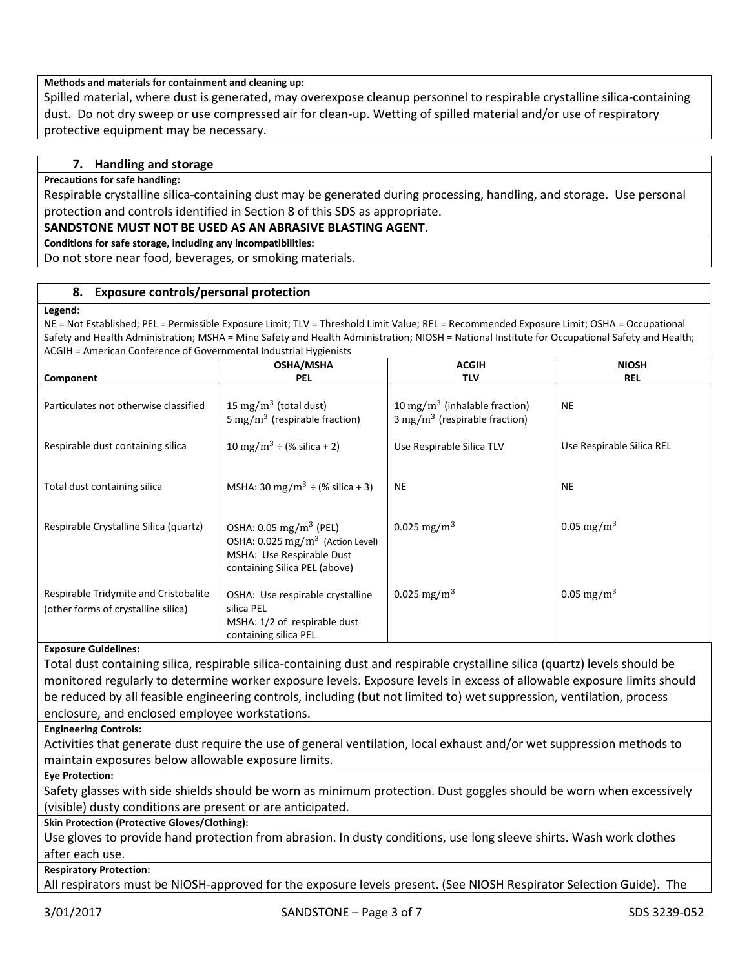#### **Methods and materials for containment and cleaning up:**

Spilled material, where dust is generated, may overexpose cleanup personnel to respirable crystalline silica-containing dust. Do not dry sweep or use compressed air for clean-up. Wetting of spilled material and/or use of respiratory protective equipment may be necessary.

#### **7. Handling and storage**

#### **Precautions for safe handling:**

Respirable crystalline silica-containing dust may be generated during processing, handling, and storage. Use personal protection and controls identified in Section 8 of this SDS as appropriate.

#### **SANDSTONE MUST NOT BE USED AS AN ABRASIVE BLASTING AGENT.**

**Conditions for safe storage, including any incompatibilities:**

Do not store near food, beverages, or smoking materials.

#### **8. Exposure controls/personal protection**

#### **Legend:**

NE = Not Established; PEL = Permissible Exposure Limit; TLV = Threshold Limit Value; REL = Recommended Exposure Limit; OSHA = Occupational Safety and Health Administration; MSHA = Mine Safety and Health Administration; NIOSH = National Institute for Occupational Safety and Health; ACGIH = American Conference of Governmental Industrial Hygienists

|                                        | <b>OSHA/MSHA</b>                                                               | <b>ACGIH</b>                                                                          | <b>NIOSH</b>              |
|----------------------------------------|--------------------------------------------------------------------------------|---------------------------------------------------------------------------------------|---------------------------|
| Component                              | <b>PEL</b>                                                                     | <b>TLV</b>                                                                            | <b>REL</b>                |
| Particulates not otherwise classified  | 15 mg/m <sup>3</sup> (total dust)<br>5 mg/m <sup>3</sup> (respirable fraction) | 10 mg/m <sup>3</sup> (inhalable fraction)<br>$3 \text{ mg/m}^3$ (respirable fraction) | <b>NE</b>                 |
| Respirable dust containing silica      | 10 mg/m <sup>3</sup> ÷ (% silica + 2)                                          | Use Respirable Silica TLV                                                             | Use Respirable Silica REL |
|                                        |                                                                                |                                                                                       |                           |
| Total dust containing silica           | MSHA: 30 mg/m <sup>3</sup> ÷ (% silica + 3)                                    | <b>NE</b>                                                                             | <b>NE</b>                 |
| Respirable Crystalline Silica (quartz) | OSHA: $0.05 \,\mathrm{mg/m^3}$ (PEL)                                           | 0.025 mg/m <sup>3</sup>                                                               | 0.05 mg/m <sup>3</sup>    |
|                                        | OSHA: 0.025 mg/m <sup>3</sup> (Action Level)                                   |                                                                                       |                           |
|                                        | MSHA: Use Respirable Dust<br>containing Silica PEL (above)                     |                                                                                       |                           |
|                                        |                                                                                |                                                                                       |                           |
| Respirable Tridymite and Cristobalite  | OSHA: Use respirable crystalline                                               | 0.025 mg/m <sup>3</sup>                                                               | 0.05 mg/m <sup>3</sup>    |
| (other forms of crystalline silica)    | silica PEL                                                                     |                                                                                       |                           |
|                                        | MSHA: 1/2 of respirable dust                                                   |                                                                                       |                           |
|                                        | containing silica PEL                                                          |                                                                                       |                           |

#### **Exposure Guidelines:**

Total dust containing silica, respirable silica-containing dust and respirable crystalline silica (quartz) levels should be monitored regularly to determine worker exposure levels. Exposure levels in excess of allowable exposure limits should be reduced by all feasible engineering controls, including (but not limited to) wet suppression, ventilation, process enclosure, and enclosed employee workstations.

#### **Engineering Controls:**

Activities that generate dust require the use of general ventilation, local exhaust and/or wet suppression methods to maintain exposures below allowable exposure limits.

**Eye Protection:**

Safety glasses with side shields should be worn as minimum protection. Dust goggles should be worn when excessively (visible) dusty conditions are present or are anticipated.

#### **Skin Protection (Protective Gloves/Clothing):**

Use gloves to provide hand protection from abrasion. In dusty conditions, use long sleeve shirts. Wash work clothes after each use.

#### **Respiratory Protection:**

All respirators must be NIOSH-approved for the exposure levels present. (See NIOSH Respirator Selection Guide). The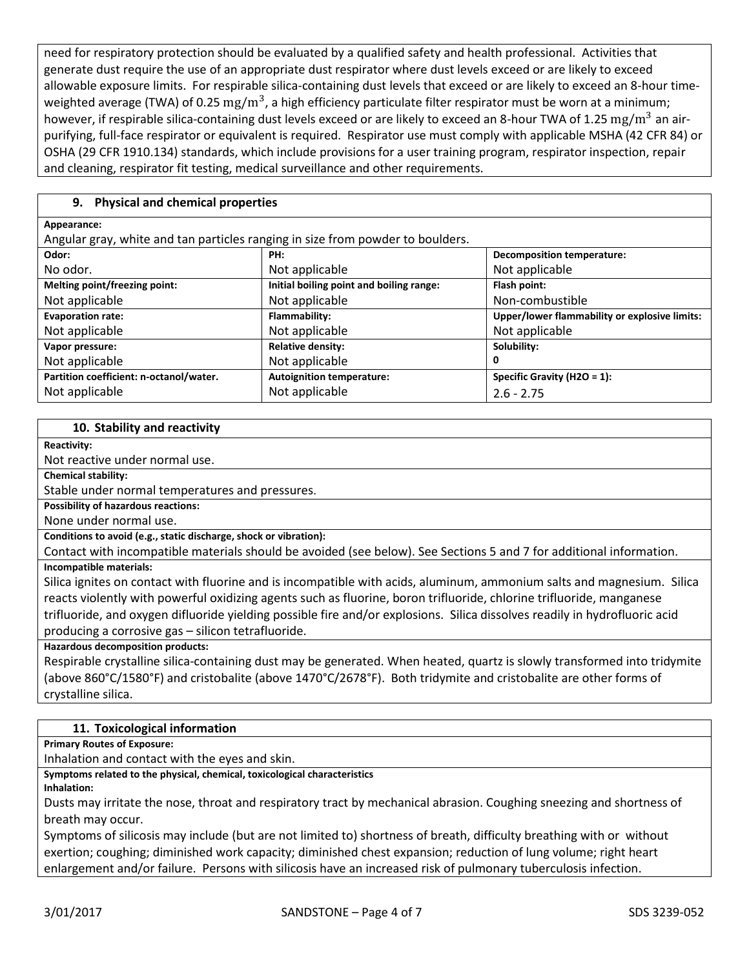need for respiratory protection should be evaluated by a qualified safety and health professional. Activities that generate dust require the use of an appropriate dust respirator where dust levels exceed or are likely to exceed allowable exposure limits. For respirable silica-containing dust levels that exceed or are likely to exceed an 8-hour timeweighted average (TWA) of 0.25  $\rm mg/m^3$ , a high efficiency particulate filter respirator must be worn at a minimum; however, if respirable silica-containing dust levels exceed or are likely to exceed an 8-hour TWA of 1.25  $\rm mg/m^3$  an airpurifying, full-face respirator or equivalent is required. Respirator use must comply with applicable MSHA (42 CFR 84) or OSHA (29 CFR 1910.134) standards, which include provisions for a user training program, respirator inspection, repair and cleaning, respirator fit testing, medical surveillance and other requirements.

## **9. Physical and chemical properties**

#### **Appearance:**

Angular gray, white and tan particles ranging in size from powder to boulders.

| wikuu kiuy, wilite uliu tuli purticito rulikilik ili olee libili powuti to boulutro. |                                          |                                               |  |
|--------------------------------------------------------------------------------------|------------------------------------------|-----------------------------------------------|--|
| Odor:                                                                                | PH:                                      | <b>Decomposition temperature:</b>             |  |
| No odor.                                                                             | Not applicable                           | Not applicable                                |  |
| Melting point/freezing point:                                                        | Initial boiling point and boiling range: | Flash point:                                  |  |
| Not applicable                                                                       | Not applicable                           | Non-combustible                               |  |
| <b>Evaporation rate:</b>                                                             | Flammability:                            | Upper/lower flammability or explosive limits: |  |
| Not applicable                                                                       | Not applicable                           | Not applicable                                |  |
| Vapor pressure:                                                                      | <b>Relative density:</b>                 | Solubility:                                   |  |
| Not applicable                                                                       | Not applicable                           | 0                                             |  |
| Partition coefficient: n-octanol/water.                                              | <b>Autoignition temperature:</b>         | Specific Gravity (H2O = 1):                   |  |
| Not applicable                                                                       | Not applicable                           | $2.6 - 2.75$                                  |  |

#### **10. Stability and reactivity**

**Reactivity:**

Not reactive under normal use.

**Chemical stability:**

Stable under normal temperatures and pressures.

**Possibility of hazardous reactions:**

None under normal use.

**Conditions to avoid (e.g., static discharge, shock or vibration):**

Contact with incompatible materials should be avoided (see below). See Sections 5 and 7 for additional information. **Incompatible materials:**

Silica ignites on contact with fluorine and is incompatible with acids, aluminum, ammonium salts and magnesium. Silica reacts violently with powerful oxidizing agents such as fluorine, boron trifluoride, chlorine trifluoride, manganese trifluoride, and oxygen difluoride yielding possible fire and/or explosions. Silica dissolves readily in hydrofluoric acid producing a corrosive gas – silicon tetrafluoride.

**Hazardous decomposition products:**

Respirable crystalline silica-containing dust may be generated. When heated, quartz is slowly transformed into tridymite (above 860°C/1580°F) and cristobalite (above 1470°C/2678°F). Both tridymite and cristobalite are other forms of crystalline silica.

## **11. Toxicological information**

**Primary Routes of Exposure:**

Inhalation and contact with the eyes and skin.

**Symptoms related to the physical, chemical, toxicological characteristics**

**Inhalation:**

Dusts may irritate the nose, throat and respiratory tract by mechanical abrasion. Coughing sneezing and shortness of breath may occur.

Symptoms of silicosis may include (but are not limited to) shortness of breath, difficulty breathing with or without exertion; coughing; diminished work capacity; diminished chest expansion; reduction of lung volume; right heart enlargement and/or failure. Persons with silicosis have an increased risk of pulmonary tuberculosis infection.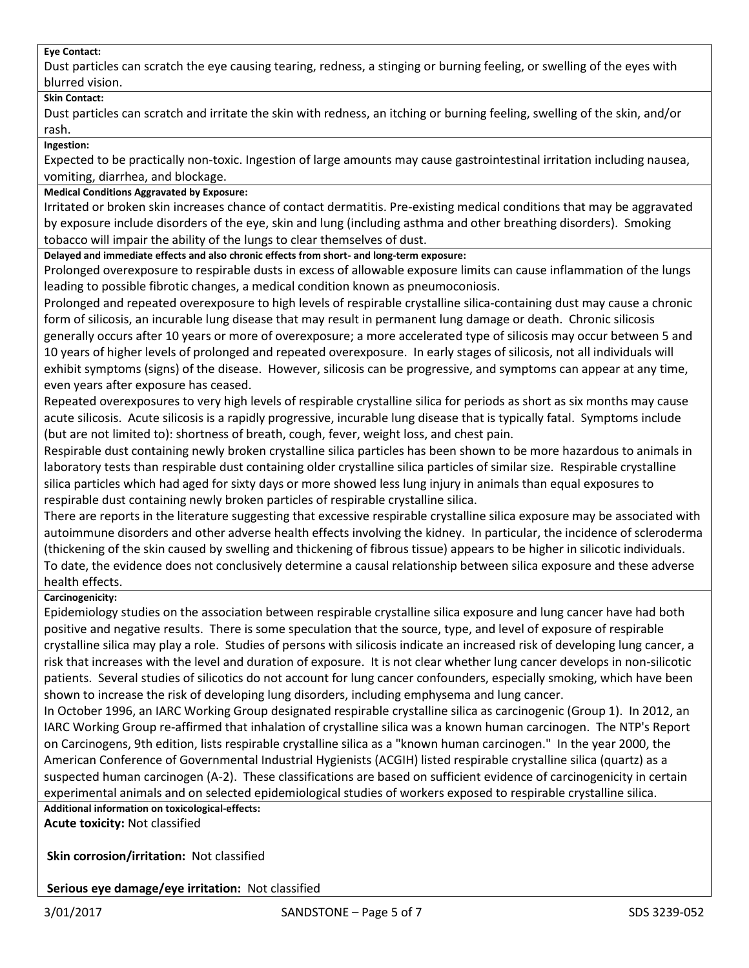#### **Eye Contact:**

Dust particles can scratch the eye causing tearing, redness, a stinging or burning feeling, or swelling of the eyes with blurred vision.

#### **Skin Contact:**

Dust particles can scratch and irritate the skin with redness, an itching or burning feeling, swelling of the skin, and/or rash.

**Ingestion:**

Expected to be practically non-toxic. Ingestion of large amounts may cause gastrointestinal irritation including nausea, vomiting, diarrhea, and blockage.

#### **Medical Conditions Aggravated by Exposure:**

Irritated or broken skin increases chance of contact dermatitis. Pre-existing medical conditions that may be aggravated by exposure include disorders of the eye, skin and lung (including asthma and other breathing disorders). Smoking tobacco will impair the ability of the lungs to clear themselves of dust.

**Delayed and immediate effects and also chronic effects from short- and long-term exposure:**

Prolonged overexposure to respirable dusts in excess of allowable exposure limits can cause inflammation of the lungs leading to possible fibrotic changes, a medical condition known as pneumoconiosis.

Prolonged and repeated overexposure to high levels of respirable crystalline silica-containing dust may cause a chronic form of silicosis, an incurable lung disease that may result in permanent lung damage or death. Chronic silicosis generally occurs after 10 years or more of overexposure; a more accelerated type of silicosis may occur between 5 and 10 years of higher levels of prolonged and repeated overexposure. In early stages of silicosis, not all individuals will exhibit symptoms (signs) of the disease. However, silicosis can be progressive, and symptoms can appear at any time, even years after exposure has ceased.

Repeated overexposures to very high levels of respirable crystalline silica for periods as short as six months may cause acute silicosis. Acute silicosis is a rapidly progressive, incurable lung disease that is typically fatal. Symptoms include (but are not limited to): shortness of breath, cough, fever, weight loss, and chest pain.

Respirable dust containing newly broken crystalline silica particles has been shown to be more hazardous to animals in laboratory tests than respirable dust containing older crystalline silica particles of similar size. Respirable crystalline silica particles which had aged for sixty days or more showed less lung injury in animals than equal exposures to respirable dust containing newly broken particles of respirable crystalline silica.

There are reports in the literature suggesting that excessive respirable crystalline silica exposure may be associated with autoimmune disorders and other adverse health effects involving the kidney. In particular, the incidence of scleroderma (thickening of the skin caused by swelling and thickening of fibrous tissue) appears to be higher in silicotic individuals. To date, the evidence does not conclusively determine a causal relationship between silica exposure and these adverse health effects.

## **Carcinogenicity:**

Epidemiology studies on the association between respirable crystalline silica exposure and lung cancer have had both positive and negative results. There is some speculation that the source, type, and level of exposure of respirable crystalline silica may play a role. Studies of persons with silicosis indicate an increased risk of developing lung cancer, a risk that increases with the level and duration of exposure. It is not clear whether lung cancer develops in non-silicotic patients. Several studies of silicotics do not account for lung cancer confounders, especially smoking, which have been shown to increase the risk of developing lung disorders, including emphysema and lung cancer.

In October 1996, an IARC Working Group designated respirable crystalline silica as carcinogenic (Group 1). In 2012, an IARC Working Group re-affirmed that inhalation of crystalline silica was a known human carcinogen. The NTP's Report on Carcinogens, 9th edition, lists respirable crystalline silica as a "known human carcinogen." In the year 2000, the American Conference of Governmental Industrial Hygienists (ACGIH) listed respirable crystalline silica (quartz) as a suspected human carcinogen (A-2). These classifications are based on sufficient evidence of carcinogenicity in certain experimental animals and on selected epidemiological studies of workers exposed to respirable crystalline silica.

**Additional information on toxicological-effects:**

**Acute toxicity:** Not classified

**Skin corrosion/irritation:** Not classified

**Serious eye damage/eye irritation:** Not classified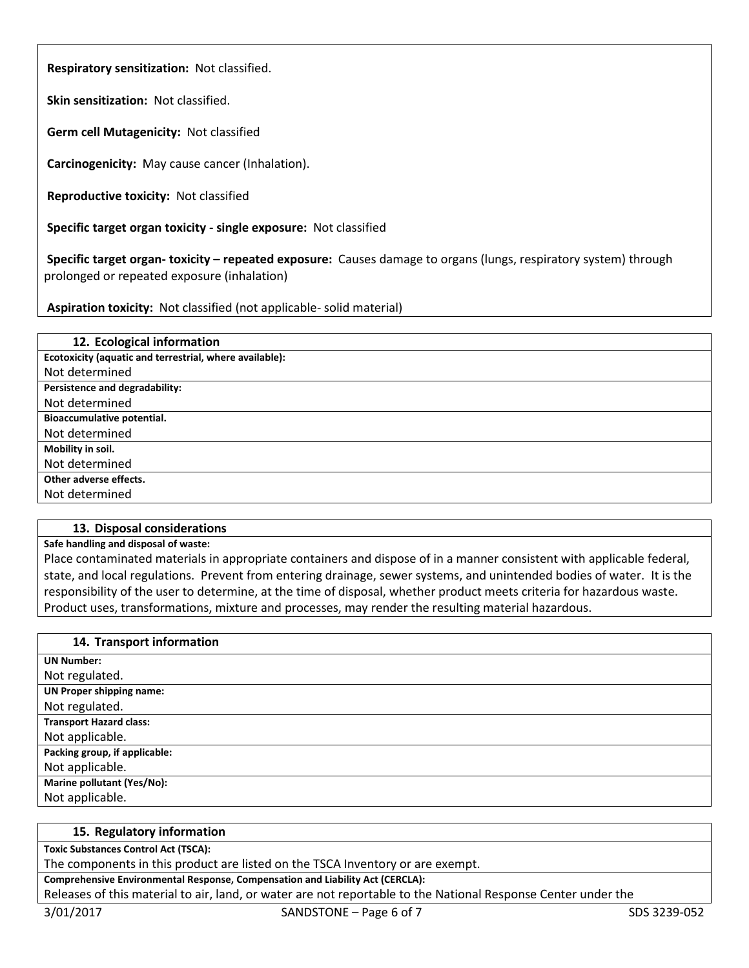**Respiratory sensitization:** Not classified.

**Skin sensitization:** Not classified.

**Germ cell Mutagenicity:** Not classified

**Carcinogenicity:** May cause cancer (Inhalation).

**Reproductive toxicity:** Not classified

**Specific target organ toxicity - single exposure:** Not classified

**Specific target organ- toxicity – repeated exposure:** Causes damage to organs (lungs, respiratory system) through prolonged or repeated exposure (inhalation)

**Aspiration toxicity:** Not classified (not applicable- solid material)

| 12. Ecological information                              |
|---------------------------------------------------------|
| Ecotoxicity (aquatic and terrestrial, where available): |
| Not determined                                          |
| Persistence and degradability:                          |
| Not determined                                          |
| <b>Bioaccumulative potential.</b>                       |
| Not determined                                          |
| Mobility in soil.                                       |
| Not determined                                          |
| Other adverse effects.                                  |
| Not determined                                          |
|                                                         |

#### **13. Disposal considerations**

#### **Safe handling and disposal of waste:**

Place contaminated materials in appropriate containers and dispose of in a manner consistent with applicable federal, state, and local regulations. Prevent from entering drainage, sewer systems, and unintended bodies of water. It is the responsibility of the user to determine, at the time of disposal, whether product meets criteria for hazardous waste. Product uses, transformations, mixture and processes, may render the resulting material hazardous.

| 14. Transport information       |
|---------------------------------|
| <b>UN Number:</b>               |
| Not regulated.                  |
| <b>UN Proper shipping name:</b> |
| Not regulated.                  |
| <b>Transport Hazard class:</b>  |
| Not applicable.                 |
| Packing group, if applicable:   |
| Not applicable.                 |
| Marine pollutant (Yes/No):      |
| Not applicable.                 |

### **15. Regulatory information**

**Toxic Substances Control Act (TSCA):**

The components in this product are listed on the TSCA Inventory or are exempt.

#### **Comprehensive Environmental Response, Compensation and Liability Act (CERCLA):**

Releases of this material to air, land, or water are not reportable to the National Response Center under the